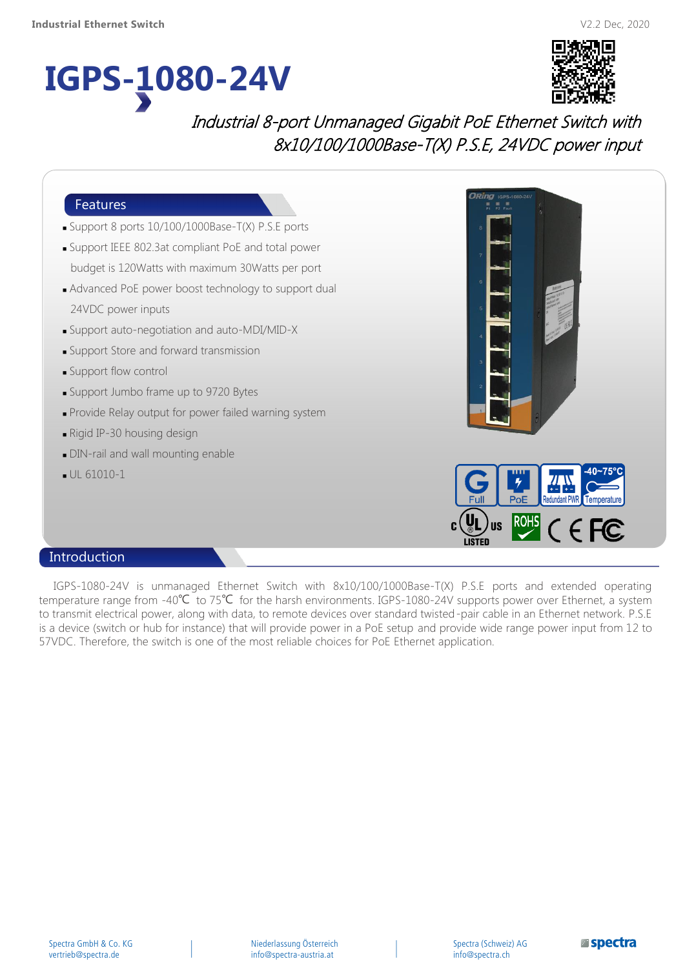# **IGPS-1080-24V**



# Industrial 8-port Unmanaged Gigabit PoE Ethernet Switch with 8x10/100/1000Base-T(X) P.S.E, 24VDC power input



#### Introduction

IGPS-1080-24V is unmanaged Ethernet Switch with 8x10/100/1000Base-T(X) P.S.E ports and extended operating temperature range from -40℃ to 75℃ for the harsh environments. IGPS-1080-24V supports power over Ethernet, a system to transmit electrical power, along with data, to remote devices over standard twisted-pair cable in an Ethernet network. P.S.E is a device (switch or hub for instance) that will provide power in a PoE setup and provide wide range power input from 12 to 57VDC. Therefore, the switch is one of the most reliable choices for PoE Ethernet application.

Spectra (Schweiz) AG info@spectra.ch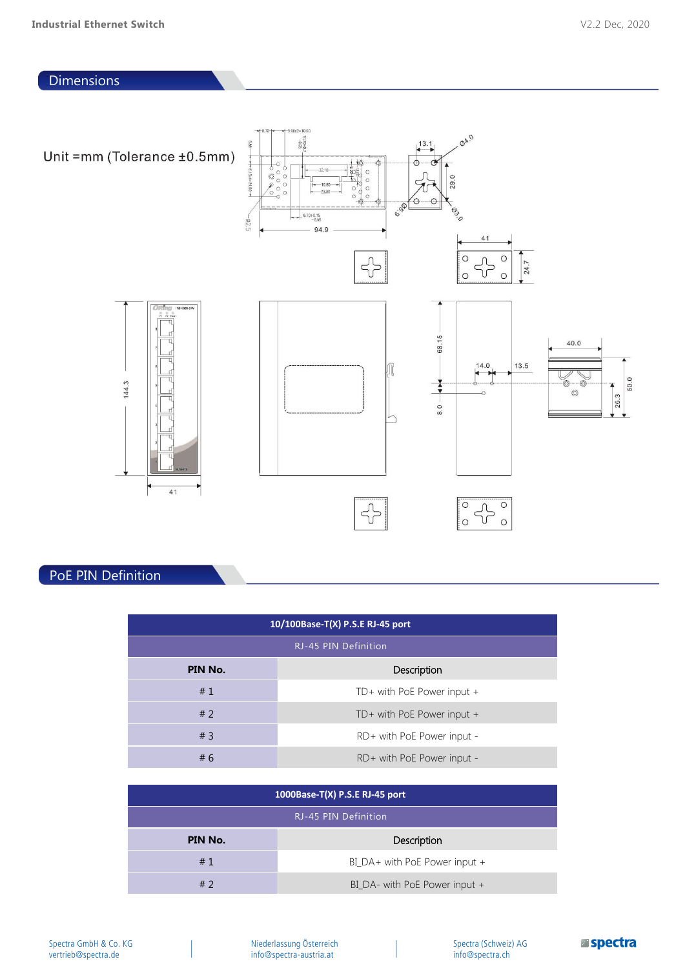#### **Dimensions**



## PoE PIN Definition

| 10/100Base-T(X) P.S.E RJ-45 port |                              |  |
|----------------------------------|------------------------------|--|
| RJ-45 PIN Definition             |                              |  |
| PIN No.                          | <b>Description</b>           |  |
| #1                               | TD+ with PoE Power input $+$ |  |
| #2                               | TD+ with PoE Power input $+$ |  |
| #3                               | RD+ with PoE Power input -   |  |
| # 6                              | RD+ with PoE Power input -   |  |

| 1000Base-T(X) P.S.E RJ-45 port |                               |
|--------------------------------|-------------------------------|
| RJ-45 PIN Definition           |                               |
| PIN No.                        | Description                   |
| #1                             | BI_DA+ with PoE Power input + |
| #2                             | BI_DA- with PoE Power input + |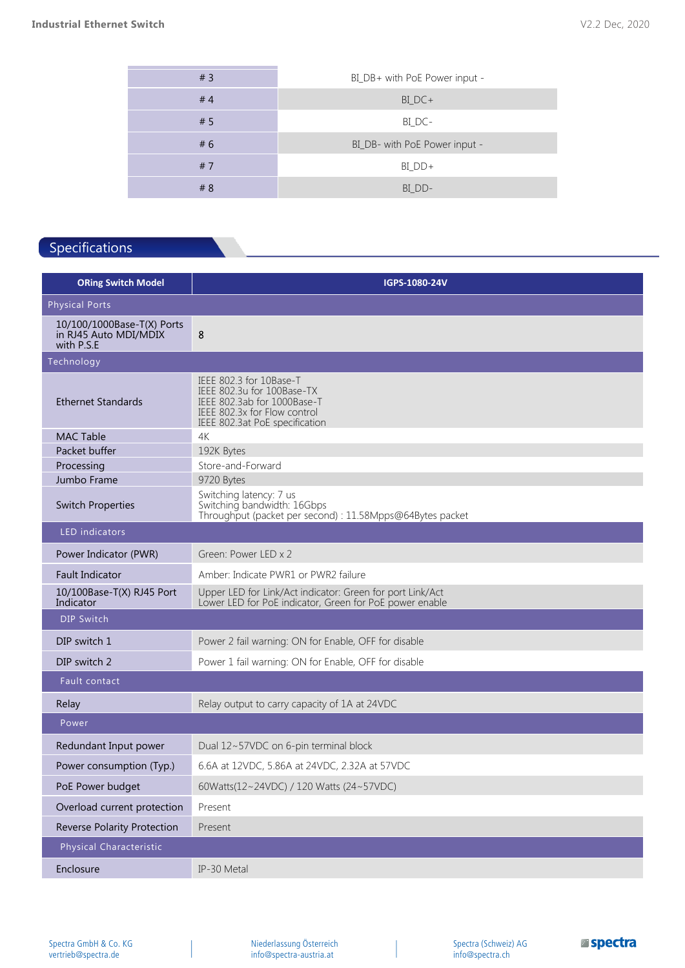| BI_DB+ with PoE Power input - |
|-------------------------------|
| $BI\_DC+$                     |
| BI_DC-                        |
| BI_DB- with PoE Power input - |
| $BI_DD+$                      |
| BI DD-                        |
|                               |

## Specifications

| <b>ORing Switch Model</b>                                         | IGPS-1080-24V                                                                                                                                          |  |
|-------------------------------------------------------------------|--------------------------------------------------------------------------------------------------------------------------------------------------------|--|
| <b>Physical Ports</b>                                             |                                                                                                                                                        |  |
| 10/100/1000Base-T(X) Ports<br>in RJ45 Auto MDI/MDIX<br>with P.S.E | 8                                                                                                                                                      |  |
| Technology                                                        |                                                                                                                                                        |  |
| <b>Ethernet Standards</b>                                         | IEEE 802.3 for 10Base-T<br>IEEE 802.3u for 100Base-TX<br>IEEE 802.3ab for 1000Base-T<br>IEEE 802.3x for Flow control<br>IEEE 802.3at PoE specification |  |
| <b>MAC Table</b>                                                  | 4K                                                                                                                                                     |  |
| Packet buffer                                                     | 192K Bytes                                                                                                                                             |  |
| Processing<br>Jumbo Frame                                         | Store-and-Forward<br>9720 Bytes                                                                                                                        |  |
| <b>Switch Properties</b>                                          | Switching latency: 7 us<br>Switching bandwidth: 16Gbps<br>Throughput (packet per second) : 11.58Mpps@64Bytes packet                                    |  |
| LED indicators                                                    |                                                                                                                                                        |  |
| Power Indicator (PWR)                                             | Green: Power LED x 2                                                                                                                                   |  |
| <b>Fault Indicator</b>                                            | Amber: Indicate PWR1 or PWR2 failure                                                                                                                   |  |
| 10/100Base-T(X) RJ45 Port<br>Indicator                            | Upper LED for Link/Act indicator: Green for port Link/Act<br>Lower LED for PoE indicator, Green for PoE power enable                                   |  |
| DIP Switch                                                        |                                                                                                                                                        |  |
| DIP switch 1                                                      | Power 2 fail warning: ON for Enable, OFF for disable                                                                                                   |  |
| DIP switch 2                                                      | Power 1 fail warning: ON for Enable, OFF for disable                                                                                                   |  |
| Fault contact                                                     |                                                                                                                                                        |  |
| Relay                                                             | Relay output to carry capacity of 1A at 24VDC                                                                                                          |  |
| Power                                                             |                                                                                                                                                        |  |
| Redundant Input power                                             | Dual 12~57VDC on 6-pin terminal block                                                                                                                  |  |
| Power consumption (Typ.)                                          | 6.6A at 12VDC, 5.86A at 24VDC, 2.32A at 57VDC                                                                                                          |  |
| PoE Power budget                                                  | 60Watts(12~24VDC) / 120 Watts (24~57VDC)                                                                                                               |  |
| Overload current protection                                       | Present                                                                                                                                                |  |
| <b>Reverse Polarity Protection</b>                                | Present                                                                                                                                                |  |
| Physical Characteristic                                           |                                                                                                                                                        |  |
| Enclosure                                                         | IP-30 Metal                                                                                                                                            |  |

Spectra GmbH & Co. KG vertrieb@spectra.de

Niederlassung Österreich info@spectra-austria.at

Spectra (Schweiz) AG info@spectra.ch

**Espectra**